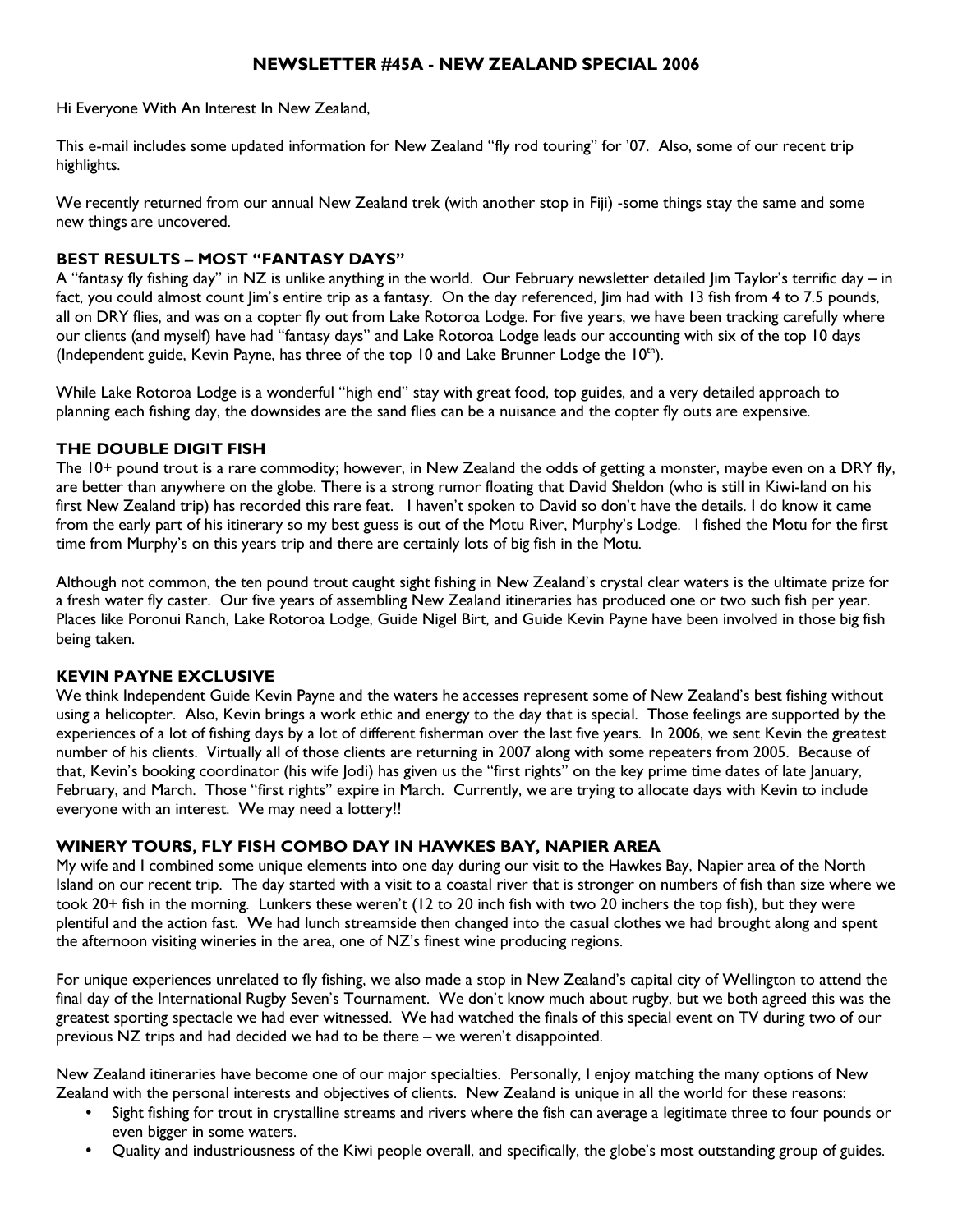# NEWSLETTER #45A - NEW ZEALAND SPECIAL 2006

Hi Everyone With An Interest In New Zealand,

This e-mail includes some updated information for New Zealand "fly rod touring" for '07. Also, some of our recent trip highlights.

We recently returned from our annual New Zealand trek (with another stop in Fiji) -some things stay the same and some new things are uncovered.

## BEST RESULTS – MOST "FANTASY DAYS"

A "fantasy fly fishing day" in NZ is unlike anything in the world. Our February newsletter detailed Jim Taylor's terrific day – in fact, you could almost count Jim's entire trip as a fantasy. On the day referenced, Jim had with 13 fish from 4 to 7.5 pounds, all on DRY flies, and was on a copter fly out from Lake Rotoroa Lodge. For five years, we have been tracking carefully where our clients (and myself) have had "fantasy days" and Lake Rotoroa Lodge leads our accounting with six of the top 10 days (Independent guide, Kevin Payne, has three of the top 10 and Lake Brunner Lodge the  $10^{th}$ ).

While Lake Rotoroa Lodge is a wonderful "high end" stay with great food, top guides, and a very detailed approach to planning each fishing day, the downsides are the sand flies can be a nuisance and the copter fly outs are expensive.

### THE DOUBLE DIGIT FISH

The 10+ pound trout is a rare commodity; however, in New Zealand the odds of getting a monster, maybe even on a DRY fly, are better than anywhere on the globe. There is a strong rumor floating that David Sheldon (who is still in Kiwi-land on his first New Zealand trip) has recorded this rare feat. I haven't spoken to David so don't have the details. I do know it came from the early part of his itinerary so my best guess is out of the Motu River, Murphy's Lodge. I fished the Motu for the first time from Murphy's on this years trip and there are certainly lots of big fish in the Motu.

Although not common, the ten pound trout caught sight fishing in New Zealand's crystal clear waters is the ultimate prize for a fresh water fly caster. Our five years of assembling New Zealand itineraries has produced one or two such fish per year. Places like Poronui Ranch, Lake Rotoroa Lodge, Guide Nigel Birt, and Guide Kevin Payne have been involved in those big fish being taken.

## KEVIN PAYNE EXCLUSIVE

We think Independent Guide Kevin Payne and the waters he accesses represent some of New Zealand's best fishing without using a helicopter. Also, Kevin brings a work ethic and energy to the day that is special. Those feelings are supported by the experiences of a lot of fishing days by a lot of different fisherman over the last five years. In 2006, we sent Kevin the greatest number of his clients. Virtually all of those clients are returning in 2007 along with some repeaters from 2005. Because of that, Kevin's booking coordinator (his wife Jodi) has given us the "first rights" on the key prime time dates of late January, February, and March. Those "first rights" expire in March. Currently, we are trying to allocate days with Kevin to include everyone with an interest. We may need a lottery!!

## WINERY TOURS, FLY FISH COMBO DAY IN HAWKES BAY, NAPIER AREA

My wife and I combined some unique elements into one day during our visit to the Hawkes Bay, Napier area of the North Island on our recent trip. The day started with a visit to a coastal river that is stronger on numbers of fish than size where we took 20+ fish in the morning. Lunkers these weren't (12 to 20 inch fish with two 20 inchers the top fish), but they were plentiful and the action fast. We had lunch streamside then changed into the casual clothes we had brought along and spent the afternoon visiting wineries in the area, one of NZ's finest wine producing regions.

For unique experiences unrelated to fly fishing, we also made a stop in New Zealand's capital city of Wellington to attend the final day of the International Rugby Seven's Tournament. We don't know much about rugby, but we both agreed this was the greatest sporting spectacle we had ever witnessed. We had watched the finals of this special event on TV during two of our previous NZ trips and had decided we had to be there – we weren't disappointed.

New Zealand itineraries have become one of our major specialties. Personally, I enjoy matching the many options of New Zealand with the personal interests and objectives of clients. New Zealand is unique in all the world for these reasons:

- Sight fishing for trout in crystalline streams and rivers where the fish can average a legitimate three to four pounds or even bigger in some waters.
- Quality and industriousness of the Kiwi people overall, and specifically, the globe's most outstanding group of guides.